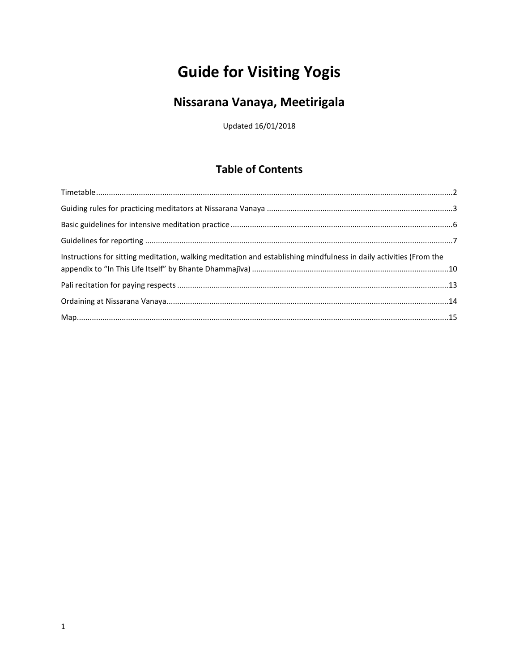# **Guide for Visiting Yogis**

## Nissarana Vanaya, Meetirigala

Updated 16/01/2018

## **Table of Contents**

| Instructions for sitting meditation, walking meditation and establishing mindfulness in daily activities (From the |  |
|--------------------------------------------------------------------------------------------------------------------|--|
|                                                                                                                    |  |
|                                                                                                                    |  |
|                                                                                                                    |  |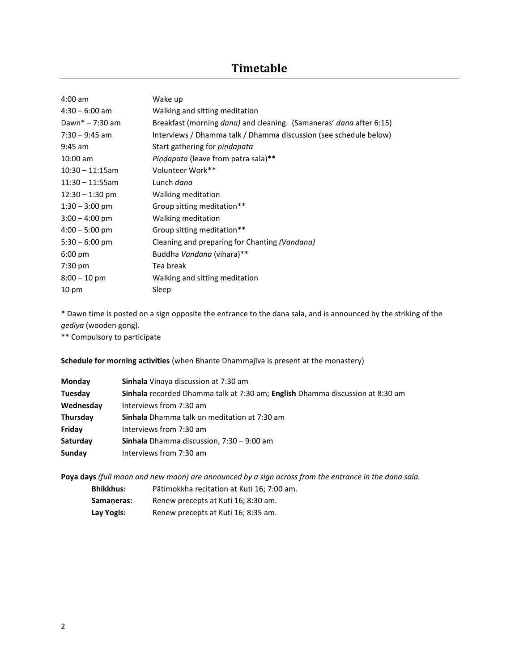### **Timetable**

<span id="page-1-0"></span>

| $4:00$ am         | Wake up                                                                            |
|-------------------|------------------------------------------------------------------------------------|
| $4:30 - 6:00$ am  | Walking and sitting meditation                                                     |
| Dawn* $-7:30$ am  | Breakfast (morning <i>dana</i> ) and cleaning. (Samaneras' <i>dana</i> after 6:15) |
| $7:30 - 9:45$ am  | Interviews / Dhamma talk / Dhamma discussion (see schedule below)                  |
| $9:45$ am         | Start gathering for <i>pindapata</i>                                               |
| $10:00$ am        | <i>Pindapata</i> (leave from patra sala)**                                         |
| $10:30 - 11:15am$ | Volunteer Work**                                                                   |
| $11:30 - 11:55am$ | Lunch <i>dana</i>                                                                  |
| $12:30 - 1:30$ pm | Walking meditation                                                                 |
| $1:30 - 3:00$ pm  | Group sitting meditation**                                                         |
| $3:00 - 4:00$ pm  | Walking meditation                                                                 |
| $4:00 - 5:00$ pm  | Group sitting meditation**                                                         |
| $5:30 - 6:00$ pm  | Cleaning and preparing for Chanting (Vandana)                                      |
| $6:00 \text{ pm}$ | Buddha Vandana (vihara)**                                                          |
| $7:30$ pm         | Tea break                                                                          |
| $8:00 - 10$ pm    | Walking and sitting meditation                                                     |
| 10 pm             | Sleep                                                                              |

\* Dawn time is posted on a sign opposite the entrance to the dana sala, and is announced by the striking of the *gediya* (wooden gong).

\*\* Compulsory to participate

**Schedule for morning activities** (when Bhante Dhammajīva is present at the monastery)

| Monday    | <b>Sinhala</b> Vinaya discussion at 7:30 am                                   |  |
|-----------|-------------------------------------------------------------------------------|--|
| Tuesday   | Sinhala recorded Dhamma talk at 7:30 am; English Dhamma discussion at 8:30 am |  |
| Wednesday | Interviews from 7:30 am                                                       |  |
| Thursday  | <b>Sinhala</b> Dhamma talk on meditation at 7:30 am                           |  |
| Friday    | Interviews from 7:30 am                                                       |  |
| Saturday  | <b>Sinhala</b> Dhamma discussion, $7:30 - 9:00$ am                            |  |
| Sunday    | Interviews from 7:30 am                                                       |  |

**Poya days** *(full moon and new moon) are announced by a sign across from the entrance in the dana sala.*

**Bhikkhus:** Pātimokkha recitation at Kuti 16; 7:00 am. **Samaṇeras:** Renew precepts at Kuti 16; 8:30 am. **Lay Yogis:** Renew precepts at Kuti 16; 8:35 am.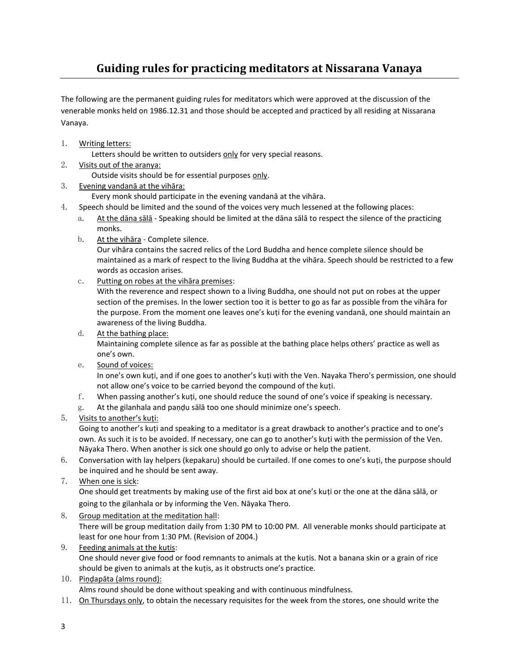## **Guiding rules for practicing meditators at Nissarana Vanaya**

<span id="page-2-0"></span>The following are the permanent guiding rules for meditators which were approved at the discussion of the venerable monks held on 1986.12.31 and those should be accepted and practiced by all residing at Nissarana Vanaya.

1. Writing letters:

Letters should be written to outsiders only for very special reasons.

- 2. Visits out of the aranya: Outside visits should be for essential purposes only.
- 3. Evening vandanā at the vihāra:

Every monk should participate in the evening vandanā at the vihāra.

- 4. Speech should be limited and the sound of the voices very much lessened at the following places:
	- a. At the dāna sālā Speaking should be limited at the dāna sālā to respect the silence of the practicing monks.
	- b. At the vihāra Complete silence.

Our vihāra contains the sacred relics of the Lord Buddha and hence complete silence should be maintained as a mark of respect to the living Buddha at the vihāra. Speech should be restricted to a few words as occasion arises.

c. Putting on robes at the vihāra premises:

With the reverence and respect shown to a living Buddha, one should not put on robes at the upper section of the premises. In the lower section too it is better to go as far as possible from the vihāra for the purpose. From the moment one leaves one's kuṭi for the evening vandanā, one should maintain an awareness of the living Buddha.

d. At the bathing place:

Maintaining complete silence as far as possible at the bathing place helps others' practice as well as one's own.

e. Sound of voices:

In one's own kuti, and if one goes to another's kuti with the Ven. Nayaka Thero's permission, one should not allow one's voice to be carried beyond the compound of the kuṭi.

- f. When passing another's kuṭi, one should reduce the sound of one's voice if speaking is necessary.
- g. At the gilanhala and paṇḍu sālā too one should minimize one's speech.
- 5. Visits to another's kuṭi:

Going to another's kuṭi and speaking to a meditator is a great drawback to another's practice and to one's own. As such it is to be avoided. If necessary, one can go to another's kuṭi with the permission of the Ven. Nāyaka Thero. When another is sick one should go only to advise or help the patient.

- 6. Conversation with lay helpers (kepakaru) should be curtailed. If one comes to one's kuṭi, the purpose should be inquired and he should be sent away.
- 7. When one is sick:

One should get treatments by making use of the first aid box at one's kuṭi or the one at the dāna sālā, or going to the gilanhala or by informing the Ven. Nāyaka Thero.

- 8. Group meditation at the meditation hall: There will be group meditation daily from 1:30 PM to 10:00 PM. All venerable monks should participate at least for one hour from 1:30 PM. (Revision of 2004.)
- 9. Feeding animals at the kutis: One should never give food or food remnants to animals at the kuṭis. Not a banana skin or a grain of rice should be given to animals at the kuṭis, as it obstructs one's practice.
- 10. Piṇḍapāta (alms round):

Alms round should be done without speaking and with continuous mindfulness.

11. On Thursdays only, to obtain the necessary requisites for the week from the stores, one should write the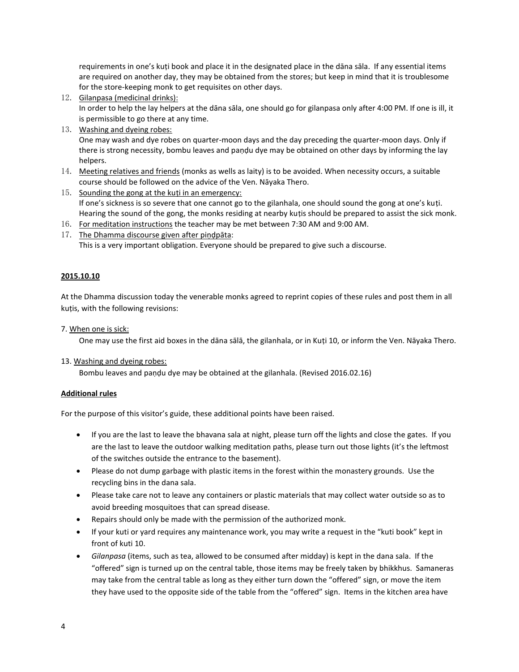requirements in one's kuṭi book and place it in the designated place in the dāna sāla. If any essential items are required on another day, they may be obtained from the stores; but keep in mind that it is troublesome for the store-keeping monk to get requisites on other days.

12. Gilanpasa (medicinal drinks):

In order to help the lay helpers at the dāna sāla, one should go for gilanpasa only after 4:00 PM. If one is ill, it is permissible to go there at any time.

13. Washing and dyeing robes:

One may wash and dye robes on quarter-moon days and the day preceding the quarter-moon days. Only if there is strong necessity, bombu leaves and paṇḍu dye may be obtained on other days by informing the lay helpers.

- 14. Meeting relatives and friends (monks as wells as laity) is to be avoided. When necessity occurs, a suitable course should be followed on the advice of the Ven. Nāyaka Thero.
- 15. Sounding the gong at the kuṭi in an emergency: If one's sickness is so severe that one cannot go to the gilanhala, one should sound the gong at one's kuṭi. Hearing the sound of the gong, the monks residing at nearby kuṭis should be prepared to assist the sick monk.
- 16. For meditation instructions the teacher may be met between 7:30 AM and 9:00 AM.
- 17. The Dhamma discourse given after piṇḍpāta: This is a very important obligation. Everyone should be prepared to give such a discourse.

#### **2015.10.10**

At the Dhamma discussion today the venerable monks agreed to reprint copies of these rules and post them in all kuṭis, with the following revisions:

7. When one is sick:

One may use the first aid boxes in the dāna sālā, the gilanhala, or in Kuṭi 10, or inform the Ven. Nāyaka Thero.

13. Washing and dyeing robes:

Bombu leaves and paṇḍu dye may be obtained at the gilanhala. (Revised 2016.02.16)

#### **Additional rules**

For the purpose of this visitor's guide, these additional points have been raised.

- If you are the last to leave the bhavana sala at night, please turn off the lights and close the gates. If you are the last to leave the outdoor walking meditation paths, please turn out those lights (it's the leftmost of the switches outside the entrance to the basement).
- Please do not dump garbage with plastic items in the forest within the monastery grounds. Use the recycling bins in the dana sala.
- Please take care not to leave any containers or plastic materials that may collect water outside so as to avoid breeding mosquitoes that can spread disease.
- Repairs should only be made with the permission of the authorized monk.
- If your kuti or yard requires any maintenance work, you may write a request in the "kuti book" kept in front of kuti 10.
- *Gilanpasa* (items, such as tea, allowed to be consumed after midday) is kept in the dana sala. If the "offered" sign is turned up on the central table, those items may be freely taken by bhikkhus. Samaneras may take from the central table as long as they either turn down the "offered" sign, or move the item they have used to the opposite side of the table from the "offered" sign. Items in the kitchen area have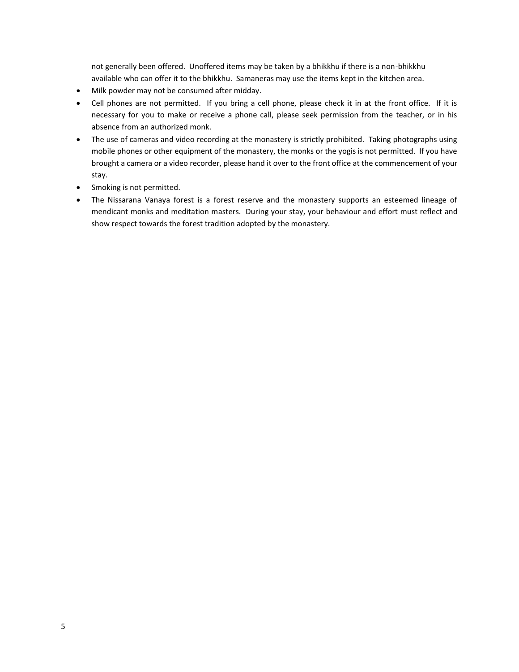not generally been offered. Unoffered items may be taken by a bhikkhu if there is a non-bhikkhu available who can offer it to the bhikkhu. Samaneras may use the items kept in the kitchen area.

- Milk powder may not be consumed after midday.
- Cell phones are not permitted. If you bring a cell phone, please check it in at the front office. If it is necessary for you to make or receive a phone call, please seek permission from the teacher, or in his absence from an authorized monk.
- The use of cameras and video recording at the monastery is strictly prohibited. Taking photographs using mobile phones or other equipment of the monastery, the monks or the yogis is not permitted. If you have brought a camera or a video recorder, please hand it over to the front office at the commencement of your stay.
- Smoking is not permitted.
- The Nissarana Vanaya forest is a forest reserve and the monastery supports an esteemed lineage of mendicant monks and meditation masters. During your stay, your behaviour and effort must reflect and show respect towards the forest tradition adopted by the monastery.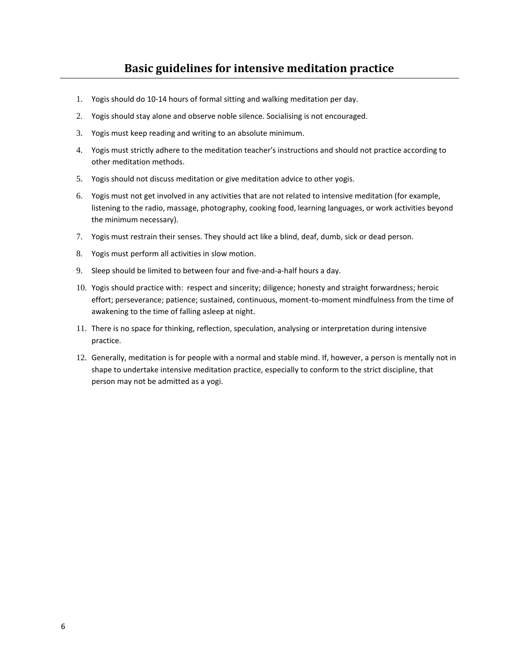- <span id="page-5-0"></span>1. Yogis should do 10-14 hours of formal sitting and walking meditation per day.
- 2. Yogis should stay alone and observe noble silence. Socialising is not encouraged.
- 3. Yogis must keep reading and writing to an absolute minimum.
- 4. Yogis must strictly adhere to the meditation teacher's instructions and should not practice according to other meditation methods.
- 5. Yogis should not discuss meditation or give meditation advice to other yogis.
- 6. Yogis must not get involved in any activities that are not related to intensive meditation (for example, listening to the radio, massage, photography, cooking food, learning languages, or work activities beyond the minimum necessary).
- 7. Yogis must restrain their senses. They should act like a blind, deaf, dumb, sick or dead person.
- 8. Yogis must perform all activities in slow motion.
- 9. Sleep should be limited to between four and five-and-a-half hours a day.
- 10. Yogis should practice with: respect and sincerity; diligence; honesty and straight forwardness; heroic effort; perseverance; patience; sustained, continuous, moment-to-moment mindfulness from the time of awakening to the time of falling asleep at night.
- 11. There is no space for thinking, reflection, speculation, analysing or interpretation during intensive practice.
- 12. Generally, meditation is for people with a normal and stable mind. If, however, a person is mentally not in shape to undertake intensive meditation practice, especially to conform to the strict discipline, that person may not be admitted as a yogi.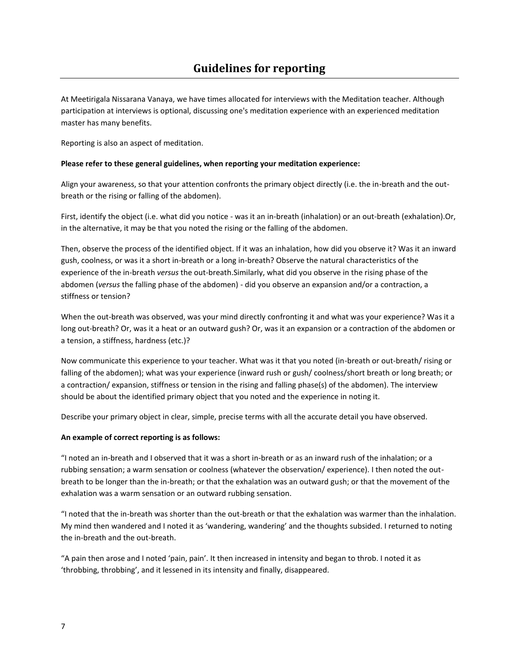<span id="page-6-0"></span>At Meetirigala Nissarana Vanaya, we have times allocated for interviews with the Meditation teacher. Although participation at interviews is optional, discussing one's meditation experience with an experienced meditation master has many benefits.

Reporting is also an aspect of meditation.

#### **Please refer to these general guidelines, when reporting your meditation experience:**

Align your awareness, so that your attention confronts the primary object directly (i.e. the in-breath and the outbreath or the rising or falling of the abdomen).

First, identify the object (i.e. what did you notice - was it an in-breath (inhalation) or an out-breath (exhalation).Or, in the alternative, it may be that you noted the rising or the falling of the abdomen.

Then, observe the process of the identified object. If it was an inhalation, how did you observe it? Was it an inward gush, coolness, or was it a short in-breath or a long in-breath? Observe the natural characteristics of the experience of the in-breath *versus* the out-breath.Similarly, what did you observe in the rising phase of the abdomen (*versus* the falling phase of the abdomen) - did you observe an expansion and/or a contraction, a stiffness or tension?

When the out-breath was observed, was your mind directly confronting it and what was your experience? Was it a long out-breath? Or, was it a heat or an outward gush? Or, was it an expansion or a contraction of the abdomen or a tension, a stiffness, hardness (etc.)?

Now communicate this experience to your teacher. What was it that you noted (in-breath or out-breath/ rising or falling of the abdomen); what was your experience (inward rush or gush/ coolness/short breath or long breath; or a contraction/ expansion, stiffness or tension in the rising and falling phase(s) of the abdomen). The interview should be about the identified primary object that you noted and the experience in noting it.

Describe your primary object in clear, simple, precise terms with all the accurate detail you have observed.

#### **An example of correct reporting is as follows:**

"I noted an in-breath and I observed that it was a short in-breath or as an inward rush of the inhalation; or a rubbing sensation; a warm sensation or coolness (whatever the observation/ experience). I then noted the outbreath to be longer than the in-breath; or that the exhalation was an outward gush; or that the movement of the exhalation was a warm sensation or an outward rubbing sensation.

"I noted that the in-breath was shorter than the out-breath or that the exhalation was warmer than the inhalation. My mind then wandered and I noted it as 'wandering, wandering' and the thoughts subsided. I returned to noting the in-breath and the out-breath.

"A pain then arose and I noted 'pain, pain'. It then increased in intensity and began to throb. I noted it as 'throbbing, throbbing', and it lessened in its intensity and finally, disappeared.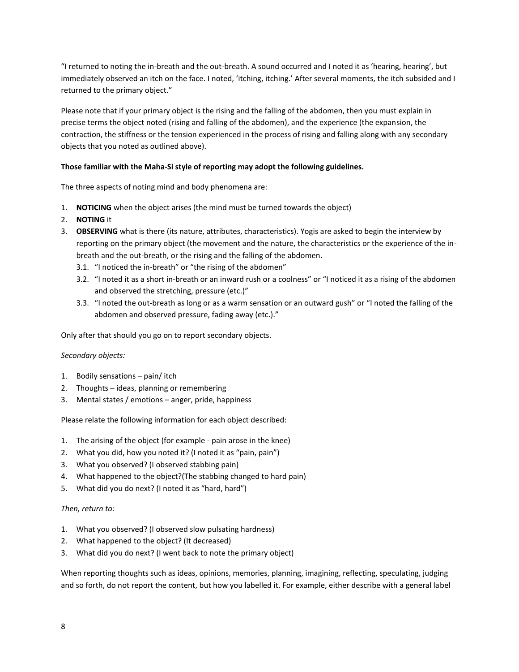"I returned to noting the in-breath and the out-breath. A sound occurred and I noted it as 'hearing, hearing', but immediately observed an itch on the face. I noted, 'itching, itching.' After several moments, the itch subsided and I returned to the primary object."

Please note that if your primary object is the rising and the falling of the abdomen, then you must explain in precise terms the object noted (rising and falling of the abdomen), and the experience (the expansion, the contraction, the stiffness or the tension experienced in the process of rising and falling along with any secondary objects that you noted as outlined above).

#### **Those familiar with the Maha-Si style of reporting may adopt the following guidelines.**

The three aspects of noting mind and body phenomena are:

- 1. **NOTICING** when the object arises (the mind must be turned towards the object)
- 2. **NOTING** it
- 3. **OBSERVING** what is there (its nature, attributes, characteristics). Yogis are asked to begin the interview by reporting on the primary object (the movement and the nature, the characteristics or the experience of the inbreath and the out-breath, or the rising and the falling of the abdomen.
	- 3.1. "I noticed the in-breath" or "the rising of the abdomen"
	- 3.2. "I noted it as a short in-breath or an inward rush or a coolness" or "I noticed it as a rising of the abdomen and observed the stretching, pressure (etc.)"
	- 3.3. "I noted the out-breath as long or as a warm sensation or an outward gush" or "I noted the falling of the abdomen and observed pressure, fading away (etc.)."

Only after that should you go on to report secondary objects.

#### *Secondary objects:*

- 1. Bodily sensations pain/ itch
- 2. Thoughts ideas, planning or remembering
- 3. Mental states / emotions anger, pride, happiness

Please relate the following information for each object described:

- 1. The arising of the object (for example pain arose in the knee)
- 2. What you did, how you noted it? (I noted it as "pain, pain")
- 3. What you observed? (I observed stabbing pain)
- 4. What happened to the object?(The stabbing changed to hard pain)
- 5. What did you do next? (I noted it as "hard, hard")

#### *Then, return to:*

- 1. What you observed? (I observed slow pulsating hardness)
- 2. What happened to the object? (It decreased)
- 3. What did you do next? (I went back to note the primary object)

When reporting thoughts such as ideas, opinions, memories, planning, imagining, reflecting, speculating, judging and so forth, do not report the content, but how you labelled it. For example, either describe with a general label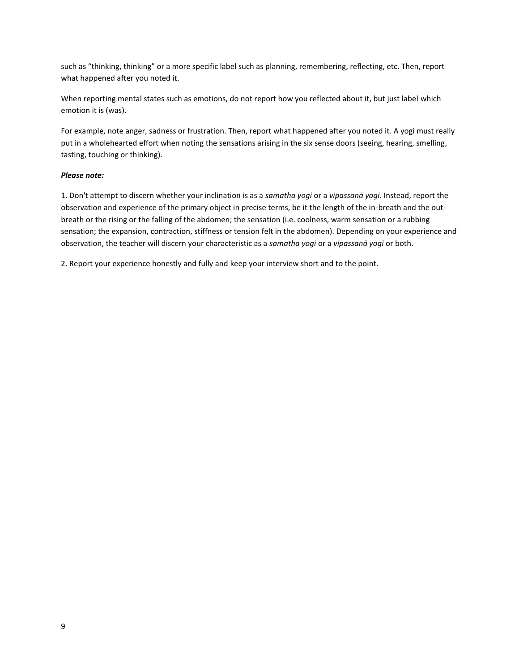such as "thinking, thinking" or a more specific label such as planning, remembering, reflecting, etc. Then, report what happened after you noted it.

When reporting mental states such as emotions, do not report how you reflected about it, but just label which emotion it is (was).

For example, note anger, sadness or frustration. Then, report what happened after you noted it. A yogi must really put in a wholehearted effort when noting the sensations arising in the six sense doors (seeing, hearing, smelling, tasting, touching or thinking).

#### *Please note:*

1. Don't attempt to discern whether your inclination is as a *samatha yogi* or a *vipassanā yogi.* Instead, report the observation and experience of the primary object in precise terms, be it the length of the in-breath and the outbreath or the rising or the falling of the abdomen; the sensation (i.e. coolness, warm sensation or a rubbing sensation; the expansion, contraction, stiffness or tension felt in the abdomen). Depending on your experience and observation, the teacher will discern your characteristic as a *samatha yogi* or a *vipassanā yogi* or both.

2. Report your experience honestly and fully and keep your interview short and to the point.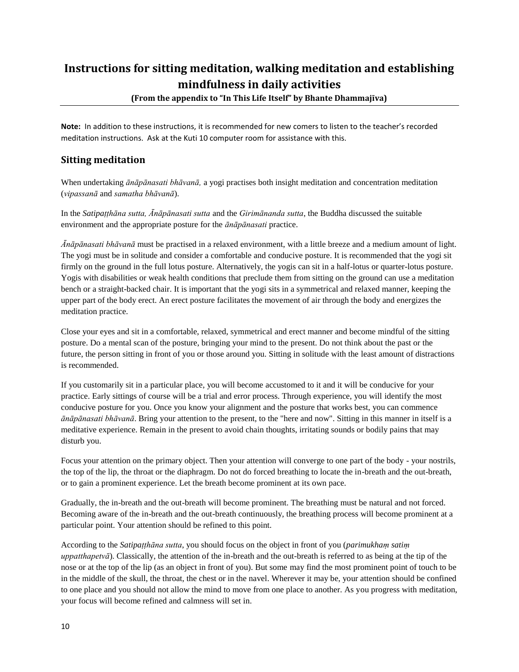## <span id="page-9-0"></span>**Instructions for sitting meditation, walking meditation and establishing mindfulness in daily activities**

**(From the appendix to "In This Life Itself" by Bhante Dhammajīva)**

**Note:** In addition to these instructions, it is recommended for new comers to listen to the teacher's recorded meditation instructions. Ask at the Kuti 10 computer room for assistance with this.

#### **Sitting meditation**

When undertaking *ānāpānasati bhāvanā,* a yogi practises both insight meditation and concentration meditation (*vipassanā* and *samatha bhāvanā*).

In the *Satipaṭṭhāna sutta, Ānāpānasati sutta* and the *Girimānanda sutta*, the Buddha discussed the suitable environment and the appropriate posture for the *ānāpānasati* practice.

*Ānāpānasati bhāvanā* must be practised in a relaxed environment, with a little breeze and a medium amount of light. The yogi must be in solitude and consider a comfortable and conducive posture. It is recommended that the yogi sit firmly on the ground in the full lotus posture. Alternatively, the yogis can sit in a half-lotus or quarter-lotus posture. Yogis with disabilities or weak health conditions that preclude them from sitting on the ground can use a meditation bench or a straight-backed chair. It is important that the yogi sits in a symmetrical and relaxed manner, keeping the upper part of the body erect. An erect posture facilitates the movement of air through the body and energizes the meditation practice.

Close your eyes and sit in a comfortable, relaxed, symmetrical and erect manner and become mindful of the sitting posture. Do a mental scan of the posture, bringing your mind to the present. Do not think about the past or the future, the person sitting in front of you or those around you. Sitting in solitude with the least amount of distractions is recommended.

If you customarily sit in a particular place, you will become accustomed to it and it will be conducive for your practice. Early sittings of course will be a trial and error process. Through experience, you will identify the most conducive posture for you. Once you know your alignment and the posture that works best, you can commence *ānāpānasati bhāvanā*. Bring your attention to the present, to the "here and now". Sitting in this manner in itself is a meditative experience. Remain in the present to avoid chain thoughts, irritating sounds or bodily pains that may disturb you.

Focus your attention on the primary object. Then your attention will converge to one part of the body - your nostrils, the top of the lip, the throat or the diaphragm. Do not do forced breathing to locate the in-breath and the out-breath, or to gain a prominent experience. Let the breath become prominent at its own pace.

Gradually, the in-breath and the out-breath will become prominent. The breathing must be natural and not forced. Becoming aware of the in-breath and the out-breath continuously, the breathing process will become prominent at a particular point. Your attention should be refined to this point.

According to the *Satipaṭṭhāna sutta*, you should focus on the object in front of you (*parimukhaṃ satiṃ uppatthapetvā*). Classically, the attention of the in-breath and the out-breath is referred to as being at the tip of the nose or at the top of the lip (as an object in front of you). But some may find the most prominent point of touch to be in the middle of the skull, the throat, the chest or in the navel. Wherever it may be, your attention should be confined to one place and you should not allow the mind to move from one place to another. As you progress with meditation, your focus will become refined and calmness will set in.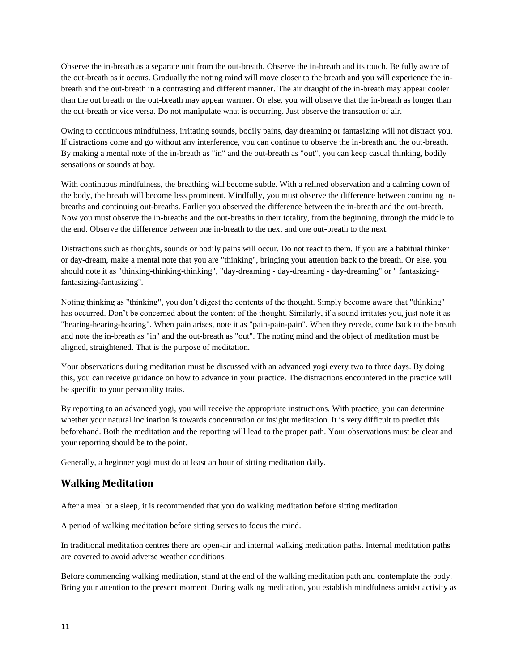Observe the in-breath as a separate unit from the out-breath. Observe the in-breath and its touch. Be fully aware of the out-breath as it occurs. Gradually the noting mind will move closer to the breath and you will experience the inbreath and the out-breath in a contrasting and different manner. The air draught of the in-breath may appear cooler than the out breath or the out-breath may appear warmer. Or else, you will observe that the in-breath as longer than the out-breath or vice versa. Do not manipulate what is occurring. Just observe the transaction of air.

Owing to continuous mindfulness, irritating sounds, bodily pains, day dreaming or fantasizing will not distract you. If distractions come and go without any interference, you can continue to observe the in-breath and the out-breath. By making a mental note of the in-breath as "in" and the out-breath as "out", you can keep casual thinking, bodily sensations or sounds at bay.

With continuous mindfulness, the breathing will become subtle. With a refined observation and a calming down of the body, the breath will become less prominent. Mindfully, you must observe the difference between continuing inbreaths and continuing out-breaths. Earlier you observed the difference between the in-breath and the out-breath. Now you must observe the in-breaths and the out-breaths in their totality, from the beginning, through the middle to the end. Observe the difference between one in-breath to the next and one out-breath to the next.

Distractions such as thoughts, sounds or bodily pains will occur. Do not react to them. If you are a habitual thinker or day-dream, make a mental note that you are "thinking", bringing your attention back to the breath. Or else, you should note it as "thinking-thinking-thinking", "day-dreaming - day-dreaming - day-dreaming" or " fantasizingfantasizing-fantasizing''.

Noting thinking as "thinking", you don't digest the contents of the thought. Simply become aware that "thinking" has occurred. Don't be concerned about the content of the thought. Similarly, if a sound irritates you, just note it as "hearing-hearing-hearing". When pain arises, note it as "pain-pain-pain". When they recede, come back to the breath and note the in-breath as "in" and the out-breath as "out". The noting mind and the object of meditation must be aligned, straightened. That is the purpose of meditation.

Your observations during meditation must be discussed with an advanced yogi every two to three days. By doing this, you can receive guidance on how to advance in your practice. The distractions encountered in the practice will be specific to your personality traits.

By reporting to an advanced yogi, you will receive the appropriate instructions. With practice, you can determine whether your natural inclination is towards concentration or insight meditation. It is very difficult to predict this beforehand. Both the meditation and the reporting will lead to the proper path. Your observations must be clear and your reporting should be to the point.

Generally, a beginner yogi must do at least an hour of sitting meditation daily.

#### **Walking Meditation**

After a meal or a sleep, it is recommended that you do walking meditation before sitting meditation.

A period of walking meditation before sitting serves to focus the mind.

In traditional meditation centres there are open-air and internal walking meditation paths. Internal meditation paths are covered to avoid adverse weather conditions.

Before commencing walking meditation, stand at the end of the walking meditation path and contemplate the body. Bring your attention to the present moment. During walking meditation, you establish mindfulness amidst activity as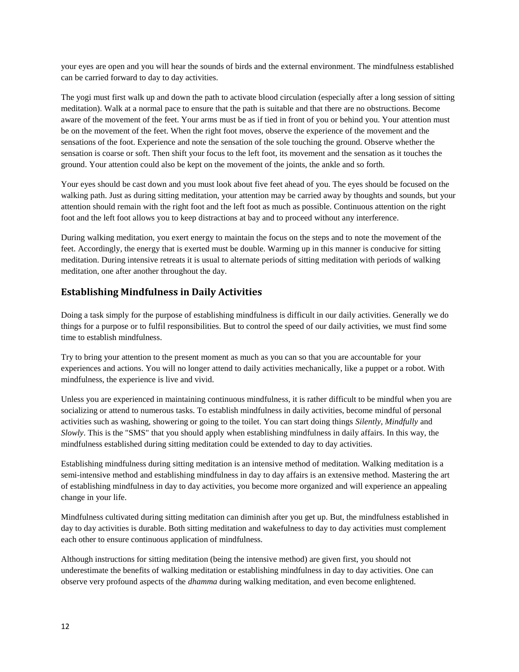your eyes are open and you will hear the sounds of birds and the external environment. The mindfulness established can be carried forward to day to day activities.

The yogi must first walk up and down the path to activate blood circulation (especially after a long session of sitting meditation). Walk at a normal pace to ensure that the path is suitable and that there are no obstructions. Become aware of the movement of the feet. Your arms must be as if tied in front of you or behind you. Your attention must be on the movement of the feet. When the right foot moves, observe the experience of the movement and the sensations of the foot. Experience and note the sensation of the sole touching the ground. Observe whether the sensation is coarse or soft. Then shift your focus to the left foot, its movement and the sensation as it touches the ground. Your attention could also be kept on the movement of the joints, the ankle and so forth.

Your eyes should be cast down and you must look about five feet ahead of you. The eyes should be focused on the walking path. Just as during sitting meditation, your attention may be carried away by thoughts and sounds, but your attention should remain with the right foot and the left foot as much as possible. Continuous attention on the right foot and the left foot allows you to keep distractions at bay and to proceed without any interference.

During walking meditation, you exert energy to maintain the focus on the steps and to note the movement of the feet. Accordingly, the energy that is exerted must be double. Warming up in this manner is conducive for sitting meditation. During intensive retreats it is usual to alternate periods of sitting meditation with periods of walking meditation, one after another throughout the day.

#### **Establishing Mindfulness in Daily Activities**

Doing a task simply for the purpose of establishing mindfulness is difficult in our daily activities. Generally we do things for a purpose or to fulfil responsibilities. But to control the speed of our daily activities, we must find some time to establish mindfulness.

Try to bring your attention to the present moment as much as you can so that you are accountable for your experiences and actions. You will no longer attend to daily activities mechanically, like a puppet or a robot. With mindfulness, the experience is live and vivid.

Unless you are experienced in maintaining continuous mindfulness, it is rather difficult to be mindful when you are socializing or attend to numerous tasks. To establish mindfulness in daily activities, become mindful of personal activities such as washing, showering or going to the toilet. You can start doing things *Silently, Mindfully* and *Slowly*. This is the "SMS" that you should apply when establishing mindfulness in daily affairs. In this way, the mindfulness established during sitting meditation could be extended to day to day activities.

Establishing mindfulness during sitting meditation is an intensive method of meditation. Walking meditation is a semi-intensive method and establishing mindfulness in day to day affairs is an extensive method. Mastering the art of establishing mindfulness in day to day activities, you become more organized and will experience an appealing change in your life.

Mindfulness cultivated during sitting meditation can diminish after you get up. But, the mindfulness established in day to day activities is durable. Both sitting meditation and wakefulness to day to day activities must complement each other to ensure continuous application of mindfulness.

Although instructions for sitting meditation (being the intensive method) are given first, you should not underestimate the benefits of walking meditation or establishing mindfulness in day to day activities. One can observe very profound aspects of the *dhamma* during walking meditation, and even become enlightened.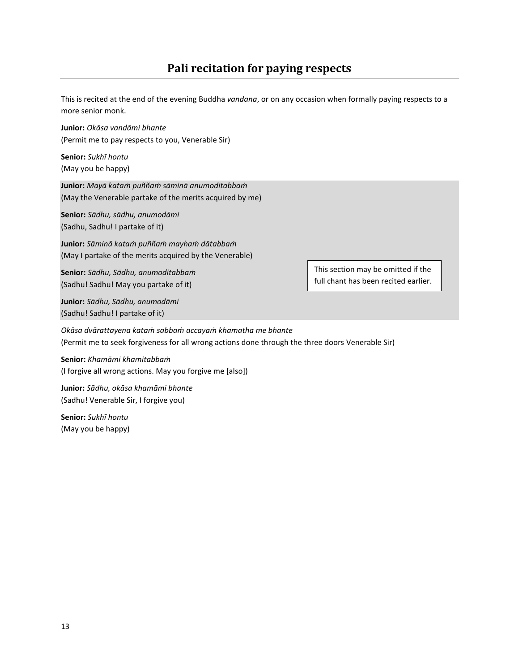<span id="page-12-0"></span>This is recited at the end of the evening Buddha *vandana*, or on any occasion when formally paying respects to a more senior monk.

**Junior:** *Okāsa vandāmi bhante* (Permit me to pay respects to you, Venerable Sir)

**Senior:** *Sukhī hontu* (May you be happy)

**Junior:** *Mayā kataṁ puññaṁ sāminā anumoditabbaṁ* (May the Venerable partake of the merits acquired by me)

**Senior:** *Sādhu, sādhu, anumodāmi* (Sadhu, Sadhu! I partake of it)

**Junior:** *Sāminā kataṁ puññaṁ mayhaṁ dātabbaṁ* (May I partake of the merits acquired by the Venerable)

**Senior:** *Sādhu, Sādhu, anumoditabbaṁ* (Sadhu! Sadhu! May you partake of it)

**Junior:** *Sādhu, Sādhu, anumodāmi* (Sadhu! Sadhu! I partake of it)

This section may be omitted if the full chant has been recited earlier.

*Okāsa dvārattayena kataṁ sabbaṁ accayaṁ khamatha me bhante* (Permit me to seek forgiveness for all wrong actions done through the three doors Venerable Sir)

**Senior:** *Khamāmi khamitabbaṁ* (I forgive all wrong actions. May you forgive me [also])

**Junior:** *Sādhu, okāsa khamāmi bhante* (Sadhu! Venerable Sir, I forgive you)

**Senior:** *Sukhī hontu* (May you be happy)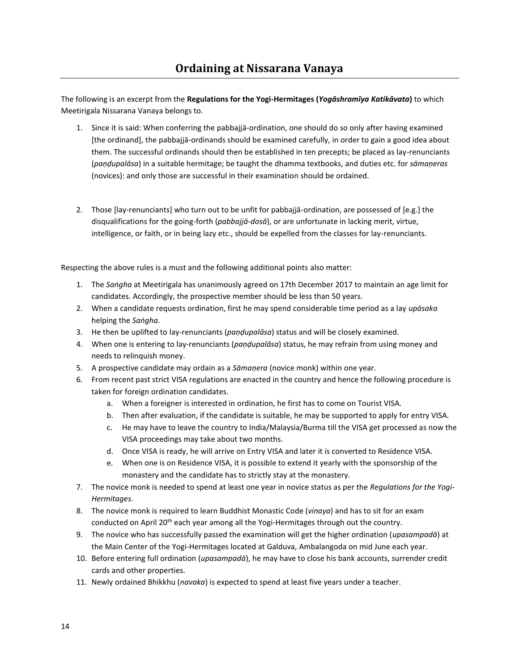<span id="page-13-0"></span>The following is an excerpt from the **Regulations for the Yogi-Hermitages (***Yogāshramīya Katikāvata***)** to which Meetirigala Nissarana Vanaya belongs to.

- 1. Since it is said: When conferring the pabbajjā-ordination, one should do so only after having examined [the ordinand], the pabbajjā-ordinands should be examined carefully, in order to gain a good idea about them. The successful ordinands should then be established in ten precepts; be placed as lay-renunciants (*paṇḍupalāsa*) in a suitable hermitage; be taught the dhamma textbooks, and duties etc. for *sāmaṇeras* (novices): and only those are successful in their examination should be ordained.
- 2. Those [lay-renunciants] who turn out to be unfit for pabbajjā-ordination, are possessed of [e.g.] the disqualifications for the going-forth (*pabbajjā-dosā*), or are unfortunate in lacking merit, virtue, intelligence, or faith, or in being lazy etc., should be expelled from the classes for lay-renunciants.

Respecting the above rules is a must and the following additional points also matter:

- 1. The *Saṅgha* at Meetirigala has unanimously agreed on 17th December 2017 to maintain an age limit for candidates. Accordingly, the prospective member should be less than 50 years.
- 2. When a candidate requests ordination, first he may spend considerable time period as a lay *upāsaka* helping the *Saṅgha*.
- 3. He then be uplifted to lay-renunciants (*paṇḍupalāsa*) status and will be closely examined.
- 4. When one is entering to lay-renunciants (*paṇḍupalāsa*) status, he may refrain from using money and needs to relinquish money.
- 5. A prospective candidate may ordain as a *Sāmaṇera* (novice monk) within one year.
- 6. From recent past strict VISA regulations are enacted in the country and hence the following procedure is taken for foreign ordination candidates.
	- a. When a foreigner is interested in ordination, he first has to come on Tourist VISA.
	- b. Then after evaluation, if the candidate is suitable, he may be supported to apply for entry VISA.
	- c. He may have to leave the country to India/Malaysia/Burma till the VISA get processed as now the VISA proceedings may take about two months.
	- d. Once VISA is ready, he will arrive on Entry VISA and later it is converted to Residence VISA.
	- e. When one is on Residence VISA, it is possible to extend it yearly with the sponsorship of the monastery and the candidate has to strictly stay at the monastery.
- 7. The novice monk is needed to spend at least one year in novice status as per the *Regulations for the Yogi-Hermitages*.
- 8. The novice monk is required to learn Buddhist Monastic Code (*vinaya*) and has to sit for an exam conducted on April 20<sup>th</sup> each year among all the Yogi-Hermitages through out the country.
- 9. The novice who has successfully passed the examination will get the higher ordination (*upasampadā*) at the Main Center of the Yogi-Hermitages located at Galduva, Ambalangoda on mid June each year.
- 10. Before entering full ordination (*upasampadā*), he may have to close his bank accounts, surrender credit cards and other properties.
- 11. Newly ordained Bhikkhu (*navaka*) is expected to spend at least five years under a teacher.